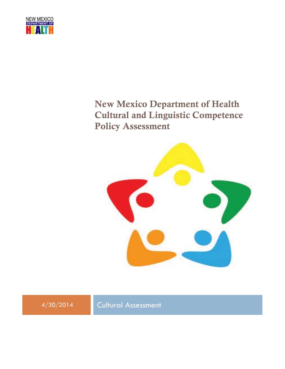

# New Mexico Department of Health Cultural and Linguistic Competence Policy Assessment



<span id="page-0-0"></span>

4/30/2014 Cultural Assessment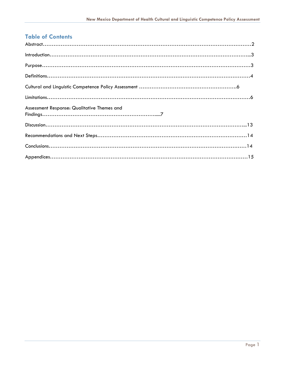# **Table of Contents**

| Assessment Response: Qualitative Themes and |
|---------------------------------------------|
|                                             |
|                                             |
|                                             |
|                                             |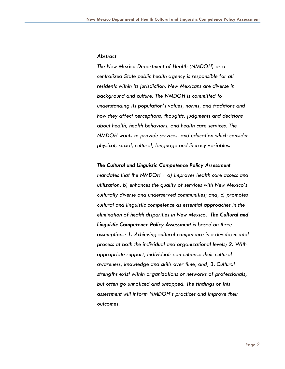#### *Abstract*

*The New Mexico Department of Health (NMDOH) as a centralized State public health agency is responsible for all residents within its jurisdiction. New Mexicans are diverse in background and culture. The NMDOH is committed to understanding its population's values, norms, and traditions and how they affect perceptions, thoughts, judgments and decisions about health, health behaviors, and health care services. The NMDOH wants to provide services, and education which consider physical, social, cultural, language and literacy variables.*

#### *The Cultural and Linguistic Competence Policy Assessmen***t**

*mandates that the NMDOH : a) improves health care access and utilization; b) enhances the quality of services with New Mexico's culturally diverse and underserved communities; and, c) promotes cultural and linguistic competence as essential approaches in the elimination of health disparities in New Mexico. The Cultural and Linguistic Competence Policy Assessment is based on three assumptions: 1. Achieving cultural competence is a developmental process at both the individual and organizational levels; 2. With appropriate support, individuals can enhance their cultural awareness, knowledge and skills over time; and, 3. Cultural strengths exist within organizations or networks of professionals, but often go unnoticed and untapped. The findings of this assessment will inform NMDOH's practices and improve their outcomes.*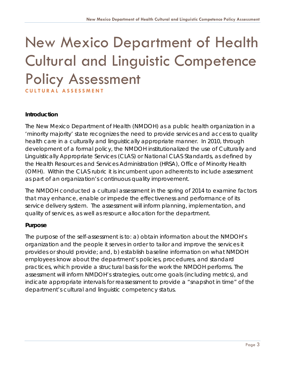# New Mexico Department of Health Cultural and Linguistic Competence Policy Assessment **CULTURAL ASSESSMENT**

#### **Introduction**

The New Mexico Department of Health (NMDOH) as a public health organization in a 'minority majority' state recognizes the need to provide services and access to quality health care in a culturally and linguistically appropriate manner. In 2010, through development of a formal policy, the NMDOH institutionalized the use of Culturally and Linguistically Appropriate Services (CLAS) or National CLAS Standards, as defined by the Health Resources and Services Administration (HRSA), Office of Minority Health (OMH). Within the CLAS rubric it is incumbent upon adherents to include assessment as part of an organization's continuous quality improvement.

The NMDOH conducted a cultural assessment in the spring of 2014 to examine factors that may enhance, enable or impede the effectiveness and performance of its service delivery system. The assessment will inform planning, implementation, and quality of services, as well as resource allocation for the department.

#### **Purpose**

The purpose of the self-assessment is to: a) obtain information about the NMDOH's organization and the people it serves in order to tailor and improve the services it provides or should provide; and, b) establish baseline information on what NMDOH employees know about the department's policies, procedures, and standard practices, which provide a structural basis for the work the NMDOH performs. The assessment will inform NMDOH's strategies, outcome goals (including metrics), and indicate appropriate intervals for reassessment to provide a "snapshot in time" of the department's cultural and linguistic competency status.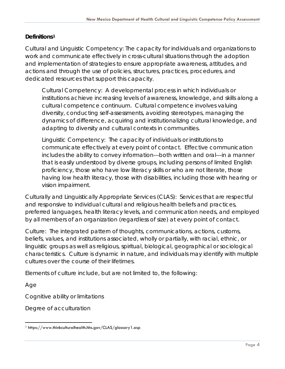## **Definitions[1](#page-0-0)**

Cultural and Linguistic Competency: The capacity for individuals and organizations to work and communicate effectively in cross-cultural situations through the adoption and implementation of strategies to ensure appropriate awareness, attitudes, and actions and through the use of policies, structures, practices, procedures, and dedicated resources that support this capacity.

Cultural Competency: A developmental process in which individuals or institutions achieve increasing levels of awareness, knowledge, and skills along a cultural competence continuum. Cultural competence involves valuing diversity, conducting self-assessments, avoiding stereotypes, managing the dynamics of difference, acquiring and institutionalizing cultural knowledge, and adapting to diversity and cultural contexts in communities.

Linguistic Competency: The capacity of individuals or institutions to communicate effectively at every point of contact. Effective communication includes the ability to convey information---both written and oral---in a manner that is easily understood by diverse groups, including persons of limited English proficiency, those who have low literacy skills or who are not literate, those having low health literacy, those with disabilities, including those with hearing or vision impairment.

Culturally and Linguistically Appropriate Services (CLAS): Services that are respectful and responsive to individual cultural and religious health beliefs and practices, preferred languages, health literacy levels, and communication needs, and employed by all members of an organization (regardless of size) at every point of contact.

Culture: The integrated pattern of thoughts, communications, actions, customs, beliefs, values, and institutions associated, wholly or partially, with racial, ethnic, or linguistic groups as well as religious, spiritual, biological, geographical or sociological characteristics. Culture is dynamic in nature, and individuals may identify with multiple cultures over the course of their lifetimes.

Elements of culture include, but are not limited to, the following:

Age

Cognitive ability or limitations

<span id="page-4-0"></span>Degree of acculturation

 <sup>1</sup> https://www.thinkculturalhealth.hhs.gov/CLAS/glossary1.asp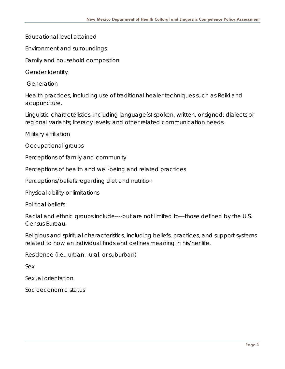Educational level attained

Environment and surroundings

Family and household composition

Gender Identity

Generation

Health practices, including use of traditional healer techniques such as Reiki and acupuncture.

Linguistic characteristics, including language(s) spoken, written, or signed; dialects or regional variants; literacy levels; and other related communication needs.

Military affiliation

Occupational groups

Perceptions of family and community

Perceptions of health and well-being and related practices

Perceptions/beliefs regarding diet and nutrition

Physical ability or limitations

Political beliefs

Racial and ethnic groups include----but are not limited to---those defined by the U.S. Census Bureau.

Religious and spiritual characteristics, including beliefs, practices, and support systems related to how an individual finds and defines meaning in his/her life.

Residence (i.e., urban, rural, or suburban)

Sex

Sexual orientation

Socioeconomic status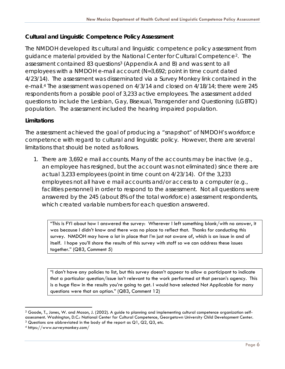## **Cultural and Linguistic Competence Policy Assessment**

The NMDOH developed its cultural and linguistic competence policy assessment from guidance material provided by the National Center for Cultural Competence[2](#page-4-0). The assessment contained 8[3](#page-6-0) questions<sup>3</sup> (Appendix A and B) and was sent to all employees with a NMDOH e-mail account (N=3,692; point in time count dated 4/23/14). The assessment was disseminated via a Survey Monkey link contained in the e-mail.[4](#page-6-1) The assessment was opened on 4/3/14 and closed on 4/18/14; there were 245 respondents from a possible pool of 3,233 active employees. The assessment added questions to include the Lesbian, Gay, Bisexual, Transgender and Questioning (LGBTQ) population. The assessment included the hearing impaired population.

# **Limitations**

The assessment achieved the goal of producing a "snapshot" of NMDOH's workforce competence with regard to cultural and linguistic policy. However, there are several limitations that should be noted as follows.

1. There are 3,692 e mail accounts. Many of the accounts may be inactive (e.g., an employee has resigned, but the account was not eliminated) since there are actual 3,233 employees (point in time count on 4/23/14). Of the 3,233 employees not all have e mail accounts and/or access to a computer (e.g., facilities personnel) in order to respond to the assessment. Not all questions were answered by the 245 (about 8% of the total workforce) assessment respondents, which created variable numbers for each question answered.

"This is FYI about how I answered the survey: Wherever I left something blank/with no answer, it was because I didn't know and there was no place to reflect that. Thanks for conducting this survey. NMDOH may have a lot in place that I'm just not aware of, which is an issue in and of itself. I hope you'll share the results of this survey with staff so we can address these issues together." (Q83, Comment 5)

"I don't have any policies to list, but this survey doesn't appear to allow a participant to indicate that a particular question/issue isn't relevant to the work performed at that person's agency. This is a huge flaw in the results you're going to get. I would have selected Not Applicable for many questions were that an option." (Q83, Comment 12)

 <sup>2</sup> Goode, T., Jones, W. and Mason, J. (2002). A guide to planning and implementing cultural competence organization selfassessment. Washington, D.C.: National Center for Cultural Competence, Georgetown University Child Development Center.

<span id="page-6-0"></span><sup>3</sup> Questions are abbreviated in the body of the report as Q1, Q2, Q3, etc.

<span id="page-6-1"></span><sup>4</sup> https://www.surveymonkey.com/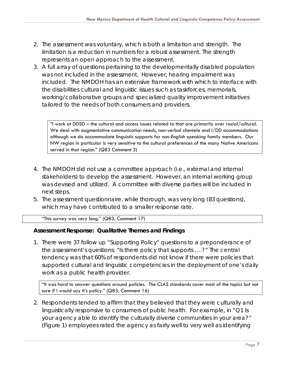- 2. The assessment was voluntary, which is both a limitation and strength. The limitation is a reduction in numbers for a robust assessment. The strength represents an open approach to the assessment.
- 3. A full array of questions pertaining to the developmentally disabled population was not included in the assessment. However, hearing impairment was included. The NMDOH has an extensive framework with which to interface with the disabilities cultural and linguistic issues such as taskforces, memorials, working/collaborative groups and specialized quality improvement initiatives tailored to the needs of both consumers and providers.

"I work at DDSD – the cultural and access issues related to that are primarily over racial/cultural. We deal with augmentative communication needs, non-verbal clientele and I/DD accommodations although we do accommodate linguistic supports for non-English speaking family members. Our NW region in particular is very sensitive to the cultural preferences of the many Native Americans served in that region." (Q83 Comment 2)

- 4. The NMDOH did not use a committee approach (i.e., external and internal stakeholders) to develop the assessment. However, an internal working group was devised and utilized. A committee with diverse parties will be included in next steps.
- 5. The assessment questionnaire, while thorough, was very long (83 questions), which may have contributed to a smaller response rate.

"This survey was very long." (Q83, Comment 17)

#### **Assessment Response: Qualitative Themes and Findings**

1. There were 37 follow up "Supporting Policy" questions to a preponderance of the assessment's questions: "Is there policy that supports ….?" The central tendency was that *60% of respondents did not know if there were policies* that supported cultural and linguistic competencies in the deployment of one's daily work as a public health provider.

"It was hard to answer questions around policies. The CLAS standards cover most of the topics but not sure if I would say it's policy." (Q83, Comment 16)

2. Respondents tended to affirm that they believed that they were culturally and linguistically responsive to consumers of public health. For example, in "Q1 Is your agency able to identify the culturally diverse communities in your area?" (Figure 1) employees rated the agency as fairly well to very well as identifying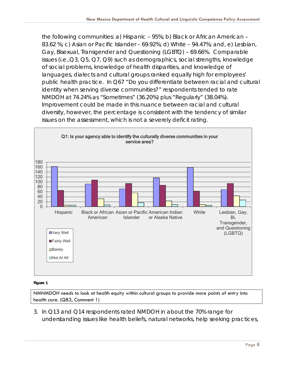the following communities: a) Hispanic – 95%; b) Black or African American – 83.62 %; c) Asian or Pacific Islander – 69.92%; d) White – 94.47%; and, e) Lesbian, Gay, Bisexual, Transgender and Questioning (LGBTQ) – 69.66%. Comparable issues (i.e.,Q3, Q5, Q7, Q9) such as demographics, social strengths, knowledge of social problems, knowledge of health disparities, and knowledge of languages, dialects and cultural groups ranked equally high for employees' public health practice. In Q67 "Do you differentiate between racial and cultural identity when serving diverse communities?" respondents tended to rate NMDOH at 74.24% as "Sometimes" (36.20%) plus "Regularly" (38.04%). Improvement could be made in this nuance between racial and cultural diversity, however, the percentage is consistent with the tendency of similar issues on the assessment, which is not a severely deficit rating.



#### **Figure 1**

NMNMDOH needs to look at health equity within cultural groups to provide more points of entry into health care. (Q83, Comment 1)

3. In Q13 and Q14 respondents rated NMDOH in about the 70% range for understanding issues like health beliefs, natural networks, help seeking practices,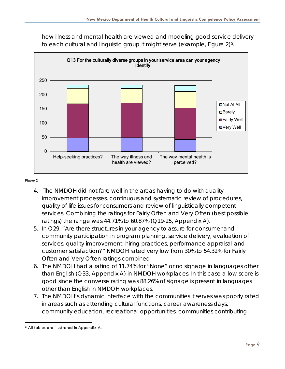how illness and mental health are viewed and modeling good service delivery to each cultural and linguistic group it might serve (example, Figure 2)<sup>5</sup>.



#### **Figure 2**

- 4. The NMDOH did not fare well in the areas having to do with quality improvement processes, continuous and systematic review of procedures, quality of life issues for consumers and review of linguistically competent services. Combining the ratings for Fairly Often and Very Often (best possible ratings) the range was  $44.71\%$  to  $60.87\%$  (Q19-25, Appendix A).
- 5. In Q29, "Are there structures in your agency to assure for consumer and community participation in program planning, service delivery, evaluation of services, quality improvement, hiring practices, performance appraisal and customer satisfaction?" NMDOH rated very low from 30% to 54.32% for Fairly Often and Very Often ratings combined.
- 6. The NMDOH had a rating of 11.74% for "None" or no signage in languages other than English (Q33, Appendix A) in NMDOH workplaces. In this case a low score is good since the converse rating was *88.26% of signage is present in languages other than English in NMDOH workplaces*.
- 7. The NMDOH's dynamic interface with the communities it serves was poorly rated in areas such as attending cultural functions, career awareness days, community education, recreational opportunities, communities contributing

 <sup>5</sup> All tables are illustrated in Appendix A.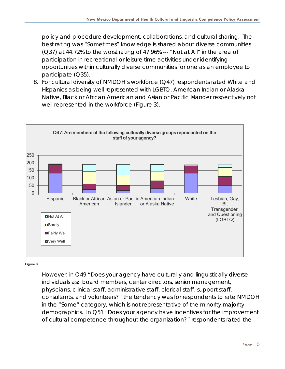policy and procedure development, collaborations, and cultural sharing. The best rating was "Sometimes" knowledge is shared about diverse communities (Q37) at 44.72% to the worst rating of 47.96% --- "Not at All" in the area of participation in recreational or leisure time activities under identifying opportunities within culturally diverse communities for one as an employee to participate (Q35).

8. For cultural diversity of NMDOH's workforce (Q47) respondents rated White and Hispanics as being well represented with LGBTQ, American Indian or Alaska Native, Black or African American and Asian or Pacific Islander respectively not well represented in the workforce (Figure 3).



#### **Figure 3**

However, in Q49 "Does your agency have culturally and linguistically diverse individuals as: board members, center directors, senior management, physicians, clinical staff, administrative staff, clerical staff, support staff, consultants, and volunteers?" the tendency was for respondents to rate NMDOH in the "Some" category, which is not representative of the minority majority demographics. In Q51 "Does your agency have incentives for the improvement of cultural competence throughout the organization?" respondents rated the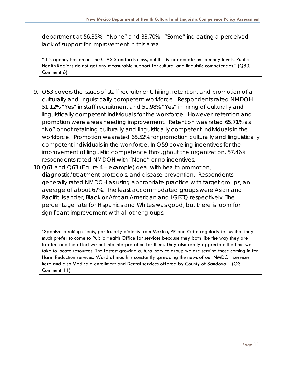department at 56.35% - "None" and 33.70% - "Some" indicating a perceived lack of support for improvement in this area.

"This agency has an on-line CLAS Standards class, but this is inadequate on so many levels. Public Health Regions do not get any measurable support for cultural and linguistic competencies." (Q83, Comment 6)

- 9. Q53 covers the issues of staff recruitment, hiring, retention, and promotion of a culturally and linguistically competent workforce. Respondents rated NMDOH 51.12% "Yes" in staff recruitment and 51.98% "Yes" in hiring of culturally and linguistically competent individuals for the workforce. However, retention and promotion were areas needing improvement. Retention was rated 65.71% as "No" or not retaining culturally and linguistically competent individuals in the workforce. Promotion was rated 65.52% for promotion culturally and linguistically competent individuals in the workforce. In Q59 covering incentives for the improvement of linguistic competence throughout the organization, 57.46% respondents rated NMDOH with "None" or no incentives.
- 10.Q61 and Q63 (Figure 4 example) deal with health promotion, diagnostic/treatment protocols, and disease prevention. Respondents generally rated NMDOH as using appropriate practice with target groups, an average of about 67%. The least accommodated groups were Asian and Pacific Islander, Black or African American and LGBTQ respectively. The percentage rate for Hispanics and Whites was good, but there is room for significant improvement with all other groups.

"Spanish speaking clients, particularly dialects from Mexico, PR and Cuba regularly tell us that they much prefer to come to Public Health Office for services because they both like the way they are treated and the effort we put into interpretation for them. They also really appreciate the time we take to locate resources. The fastest growing cultural service group we are serving those coming in for Harm Reduction services. Word of mouth is constantly spreading the news of our NMDOH services here and also Medicaid enrollment and Dental services offered by County of Sandoval." (Q3 Comment 11)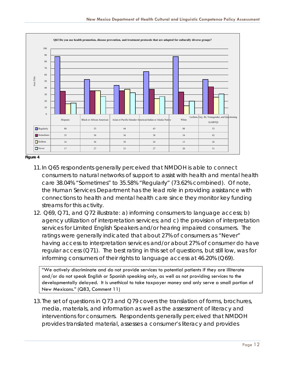

**Figure 4**

- 11.In Q65 respondents generally perceived that NMDOH is able to connect consumers to natural networks of support to assist with health and mental health care 38.04% "Sometimes" to 35.58% "Regularly" (73.62% combined). Of note, the Human Services Department has the lead role in providing assistance with connections to health and mental health care since they monitor key funding streams for this activity.
- 12. Q69, Q71, and Q72 illustrate: a) informing consumers to language access; b) agency utilization of interpretation services; and c) the provision of interpretation services for Limited English Speakers and/or hearing impaired consumers. The ratings were generally indicated that about 27% of consumers as "Never" having access to interpretation services and/or about 27% of consumer do have regular access (Q71). The best rating in this set of questions, but still low, was for informing consumers of their rights to language access at 46.20% (Q69).

"We actively discriminate and do not provide services to potential patients if they are illiterate and/or do not speak English or Spanish speaking only, as well as not providing services to the developmentally delayed. It is unethical to take taxpayer money and only serve a small portion of New Mexicans." (Q83, Comment 11)

13. The set of questions in Q73 and Q79 covers the translation of forms, brochures, media, materials, and information as well as the assessment of literacy and interventions for consumers. Respondents generally perceived that NMDOH provides translated material, assesses a consumer's literacy and provides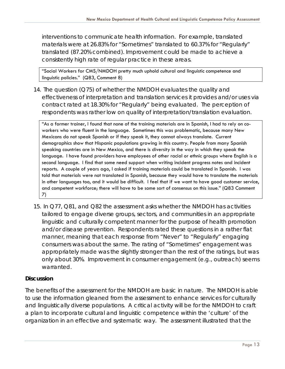interventions to communicate health information. For example, translated materials were at 26.83% for "Sometimes" translated to 60.37% for "Regularly" translated (87.20% combined). Improvement could be made to achieve a consistently high rate of regular practice in these areas.

"Social Workers for CMS/NMDOH pretty much uphold cultural and linguistic competence and linguistic policies." (Q83, Comment 8)

14. The question (Q75) of whether the NMDOH evaluates the quality and effectiveness of interpretation and translation services it provides and/or uses via contract rated at 18.30% for "Regularly" being evaluated. The perception of respondents was rather low on quality of interpretation/translation evaluation.

"As a former trainer, I found that none of the training materials are in Spanish, I had to rely on coworkers who were fluent in the language. Sometimes this was problematic, because many New Mexicans do not speak Spanish or if they speak it, they cannot always translate. Current demographics show that Hispanic populations growing in this country. People from many Spanish speaking countries are in New Mexico, and there is diversity in the way in which they speak the language. I have found providers have employees of other racial or ethnic groups where English is a second language. I find that some need support when writing incident progress notes and incident reports. A couple of years ago, I asked if training materials could be translated in Spanish. I was told that materials were not translated in Spanish, because they would have to translate the materials in other languages too, and it would be difficult. I feel that if we want to have good customer service, and competent workforce; there will have to be some sort of consensus on this issue." (Q83 Comment 7)

15. In Q77, Q81, and Q82 the assessment asks whether the NMDOH has activities tailored to engage diverse groups, sectors, and communities in an appropriate linguistic and culturally competent manner for the purpose of health promotion and/or disease prevention. Respondents rated these questions in a rather flat manner, meaning that each response from "Never" to "Regularly" engaging consumers was about the same. The rating of "Sometimes" engagement was appropriately made was the slightly stronger than the rest of the ratings, but was only about 30%. Improvement in consumer engagement (e.g., outreach) seems warranted.

#### **Discussion**

The benefits of the assessment for the NMDOH are basic in nature. The NMDOH is able to use the information gleaned from the assessment to enhance services for culturally and linguistically diverse populations. A critical activity will be for the NMDOH to craft a plan to incorporate cultural and linguistic competence within the 'culture' of the organization in an effective and systematic way. The assessment illustrated that the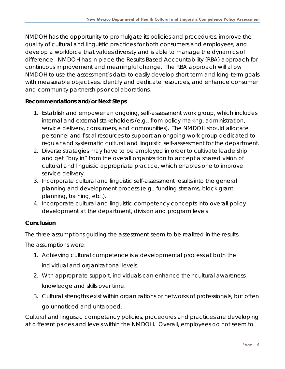NMDOH has the opportunity to promulgate its policies and procedures, improve the quality of cultural and linguistic practices for both consumers and employees, and develop a workforce that values diversity and is able to manage the dynamics of difference. NMDOH has in place the Results Based Accountability (RBA) approach for continuous improvement and meaningful change. The RBA approach will allow NMDOH to use the assessment's data to easily develop short-term and long-term goals with measurable objectives, identify and dedicate resources, and enhance consumer and community partnerships or collaborations.

#### **Recommendations and/or Next Steps**

- 1. Establish and empower an ongoing, self-assessment work group, which includes internal and external stakeholders (e.g., from policy making, administration, service delivery, consumers, and communities). The NMDOH should allocate personnel and fiscal resources to support an ongoing work group dedicated to regular and systematic cultural and linguistic self-assessment for the department.
- 2. Diverse strategies may have to be employed in order to cultivate leadership and get "buy in" from the overall organization to accept a shared vision of cultural and linguistic appropriate practice, which enables one to improve service delivery.
- 3. Incorporate cultural and linguistic self-assessment results into the general planning and development process (e.g., funding streams, block grant planning, training, etc.).
- 4. Incorporate cultural and linguistic competency concepts into overall policy development at the department, division and program levels

## **Conclusion**

The three assumptions guiding the assessment seem to be realized in the results.

The assumptions were:

- 1. Achieving cultural competence is a developmental process at both the individual and organizational levels.
- 2. With appropriate support, individuals can enhance their cultural awareness, knowledge and skills over time.
- 3. Cultural strengths exist within organizations or networks of professionals, but often go unnoticed and untapped.

Cultural and linguistic competency policies, procedures and practices are developing at different paces and levels within the NMDOH. Overall, employees do not seem to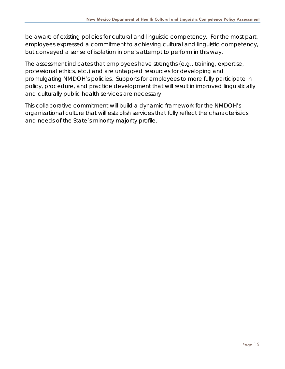be aware of existing policies for cultural and linguistic competency. For the most part, employees expressed a commitment to achieving cultural and linguistic competency, but conveyed a sense of isolation in one's attempt to perform in this way.

The assessment indicates that employees have strengths (e.g., training, expertise, professional ethics, etc.) and are untapped resources for developing and promulgating NMDOH's policies. Supports for employees to more fully participate in policy, procedure, and practice development that will result in improved linguistically and culturally public health services are necessary

This collaborative commitment will build a dynamic framework for the NMDOH's organizational culture that will establish services that fully reflect the characteristics and needs of the State's minority majority profile.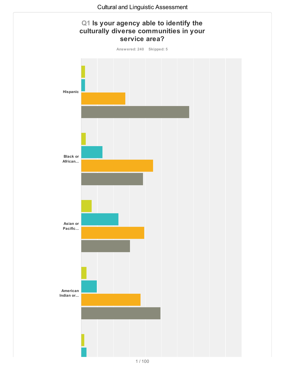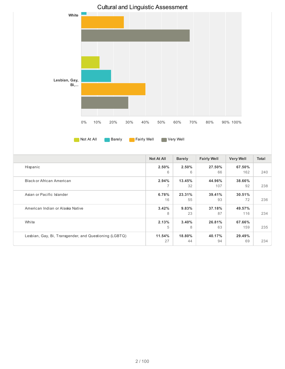

American Indian or Alaska Native

Lesbian, Gay, Bi, Transgender, and Questioning (LGBTQ)

White

16

**3.42%** 8

**2.13%** 5

**11.54%** 27

55

**9.83%** 23

**3.40%** 8

**18.80%** 44 93

**37.18%** 87

**26.81%** 63

**40.17%** 94 72 236

116 234

159 235

69 234

**49.57%**

**67.66%**

**29.49%**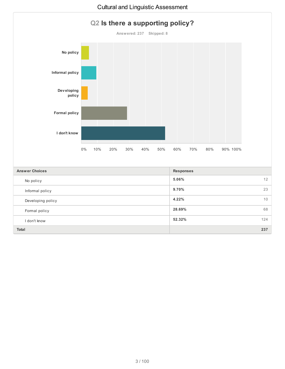

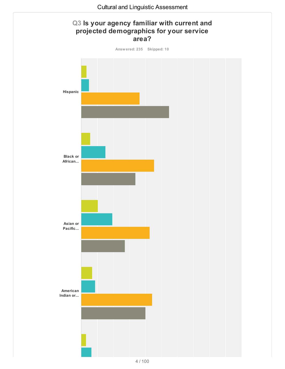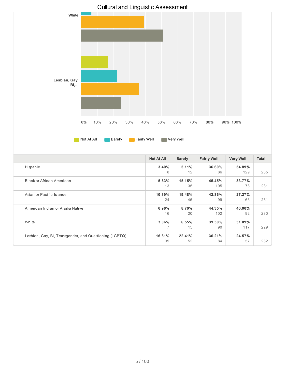

American Indian or Alaska Native

Lesbian, Gay, Bi, Transgender, and Questioning (LGBTQ)

White

**6.96%** 16

**3.06%** 7

**16.81%** 39 **8.70%** 20

**6.55%** 15

**22.41%** 52 **44.35%** 102

**39.30%** 90

**36.21%** 84 **40.00%**

**51.09%**

**24.57%**

92 230

117 229

57 232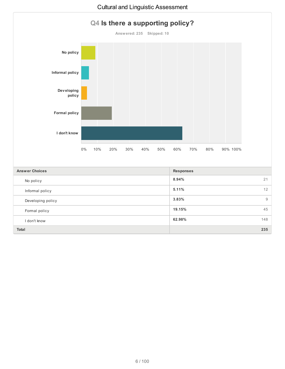

**Total 235**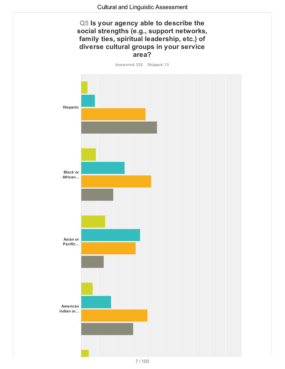# **Q5 Is your agency able to describe the social strengths (e.g., support networks, family ties, spiritual leadership, etc.) of diverse cultural groups in your service area?**

**Answered: 232 Skipped: 13**

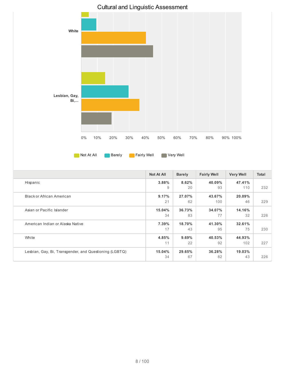

|                                                        | <b>Not At All</b> | <b>Barely</b> | <b>Fairly Well</b> | <b>Very Well</b> | <b>Total</b> |
|--------------------------------------------------------|-------------------|---------------|--------------------|------------------|--------------|
| Hispanic                                               | 3.88%             | 8.62%         | 40.09%             | 47.41%           |              |
|                                                        | 9                 | 20            | 93                 | 110              | 232          |
| Black or African American                              | 9.17%             | 27.07%        | 43.67%             | 20.09%           |              |
|                                                        | 21                | 62            | 100                | 46               | 229          |
| Asian or Pacific Islander                              | 15.04%            | 36.73%        | 34.07%             | 14.16%           |              |
|                                                        | 34                | 83            | 77                 | 32               | 226          |
| American Indian or Alaska Native                       | 7.39%             | 18.70%        | 41.30%             | 32.61%           |              |
|                                                        | 17                | 43            | 95                 | 75               | 230          |
| White                                                  | 4.85%             | 9.69%         | 40.53%             | 44.93%           |              |
|                                                        | 11                | 22            | 92                 | 102              | 227          |
| Lesbian, Gay, Bi, Transgender, and Questioning (LGBTQ) | 15.04%            | 29.65%        | 36.28%             | 19.03%           |              |
|                                                        | 34                | 67            | 82                 | 43               | 226          |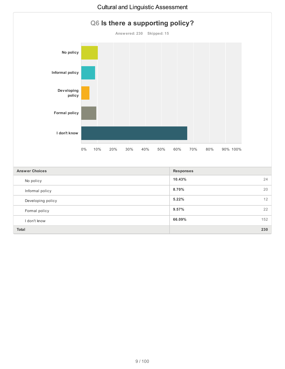

**Total 230**

#### Cultural and Linguistic Assessment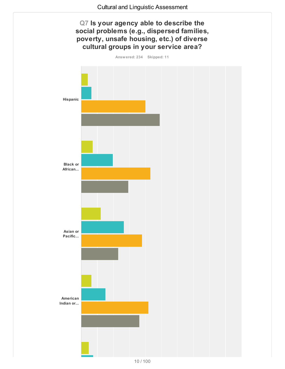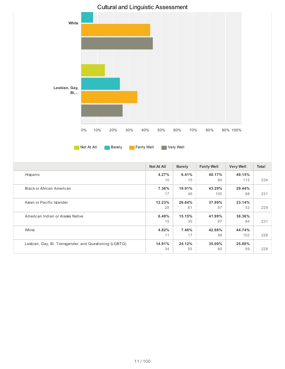

|                                                        | <b>Not At All</b> | <b>Barely</b> | <b>Fairly Well</b> | <b>Very Well</b> | <b>Total</b> |
|--------------------------------------------------------|-------------------|---------------|--------------------|------------------|--------------|
| Hispanic                                               | 4.27%             | 6.41%         | 40.17%             | 49.15%           |              |
|                                                        | 10                | 15            | 94                 | 115              | 234          |
| <b>Black or African American</b>                       | 7.36%             | 19.91%        | 43.29%             | 29.44%           |              |
|                                                        | 17                | 46            | 100                | 68               | 231          |
| Asian or Pacific Islander                              | 12.23%            | 26.64%        | 37.99%             | 23.14%           |              |
|                                                        | 28                | 61            | 87                 | 53               | 229          |
| American Indian or Alaska Native                       | 6.49%             | 15.15%        | 41.99%             | 36.36%           |              |
|                                                        | 15                | 35            | 97                 | 84               | 231          |
| White                                                  | 4.82%             | 7.46%         | 42.98%             | 44.74%           |              |
|                                                        | 11                | 17            | 98                 | 102              | 228          |
| Lesbian, Gay, Bi, Transgender, and Questioning (LGBTQ) | 14.91%            | 24.12%        | 35.09%             | 25.88%           |              |
|                                                        | 34                | 55            | 80                 | 59               | 228          |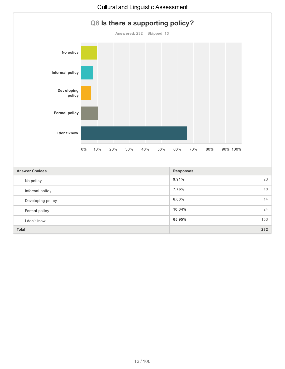

**Total 232**

#### Cultural and Linguistic Assessment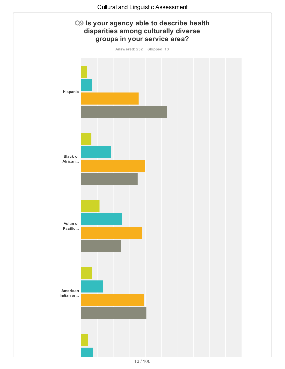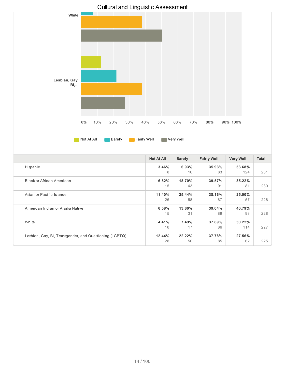

American Indian or Alaska Native

Lesbian, Gay, Bi, Transgender, and Questioning (LGBTQ)

White

**6.58%** 15

**4.41%** 10

**12.44%** 28 **13.60%** 31

> **7.49%** 17

**22.22%** 50 **39.04%** 89

**37.89%** 86

**37.78%** 85 **40.79%**

**50.22%**

**27.56%**

93 228

114 227

62 225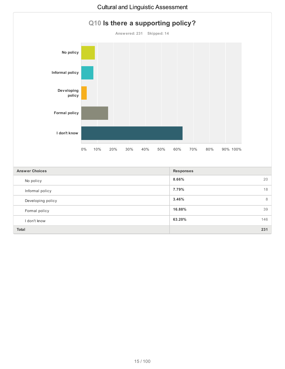

**Total 231**

Formal policy

I don't know

**16.88%** 39

**63.20%** 146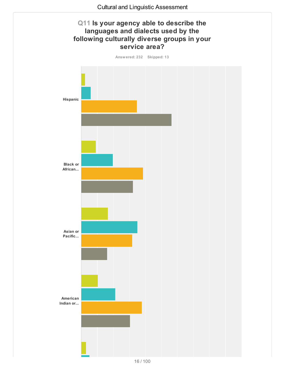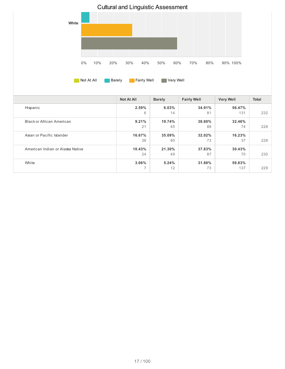

|                                  | <b>Not At All</b> | <b>Barely</b> | <b>Fairly Well</b> | <b>Very Well</b> | <b>Total</b> |
|----------------------------------|-------------------|---------------|--------------------|------------------|--------------|
| Hispanic                         | 2.59%             | 6.03%         | 34.91%             | 56.47%           |              |
|                                  | 6                 | 14            | 81                 | 131              | 232          |
| Black or African American        | 9.21%             | 19.74%        | 38.60%             | 32.46%           |              |
|                                  | 21                | 45            | 88                 | 74               | 228          |
| Asian or Pacific Islander        | 16.67%            | 35.09%        | 32.02%             | 16.23%           |              |
|                                  | 38                | 80            | 73                 | 37               | 228          |
| American Indian or Alaska Native | 10.43%            | 21.30%        | 37.83%             | 30.43%           |              |
|                                  | 24                | 49            | 87                 | 70               | 230          |
| White                            | 3.06%             | 5.24%         | 31.88%             | 59.83%           |              |
|                                  | $\overline{7}$    | 12            | 73                 | 137              | 229          |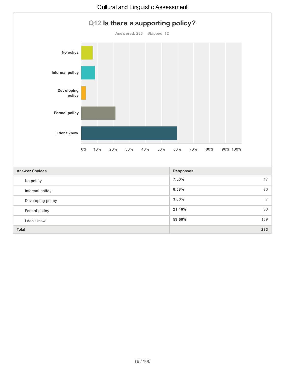

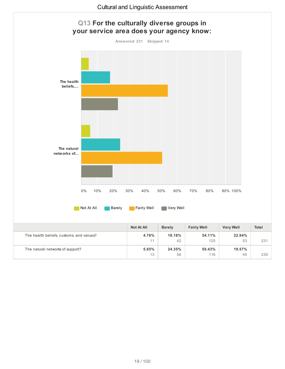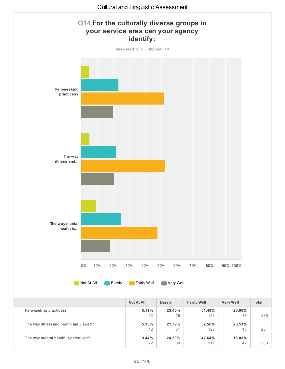

|                                     | 12          | 5 <sup>1</sup> | 123    |  |
|-------------------------------------|-------------|----------------|--------|--|
| The way mental health is perceived? | 9.44%<br>22 | 24.89%<br>58   | 47.64% |  |
|                                     |             |                |        |  |

48 234

42 233

**18.03%**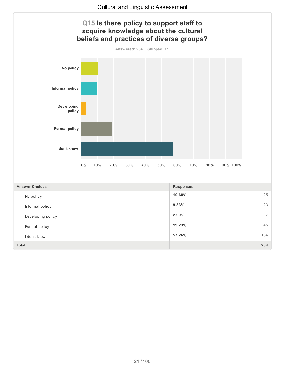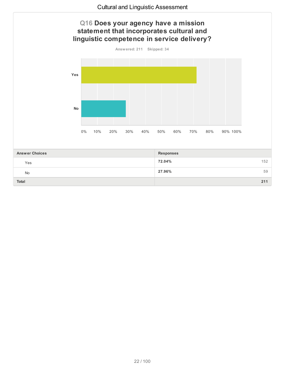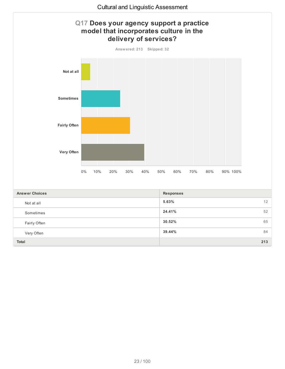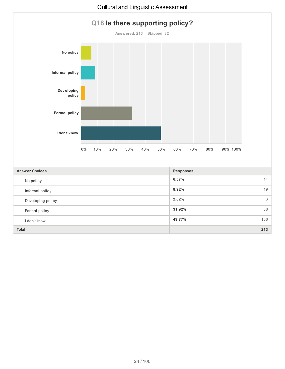

I don't know

**49.77%** 106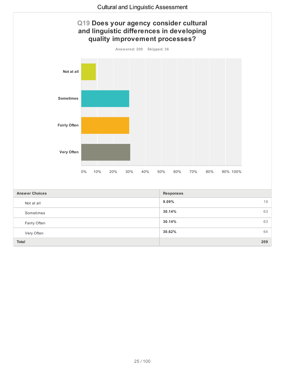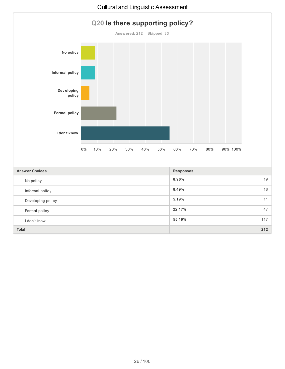

**22.17%** 47

**55.19%** 117

**Total 212**

Developing policy

Formal policy

I don't know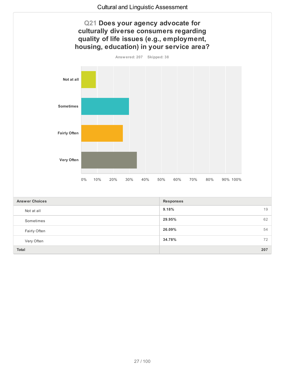

**26.09%** 54

**34.78%** 72

**Total 207**

Fairly Often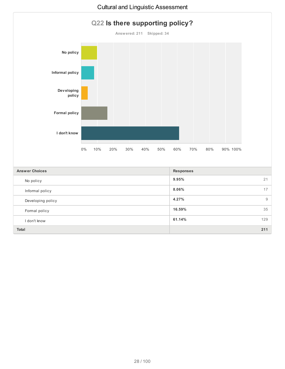

I don't know

**61.14%** 129

## Cultural and Linguistic Assessment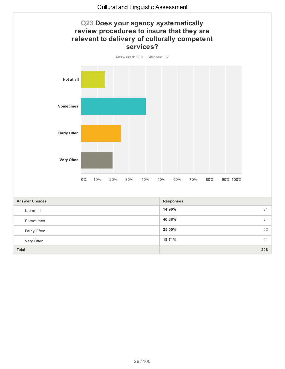

**25.00%** 52

**19.71%** 41

**Total 208**

Fairly Often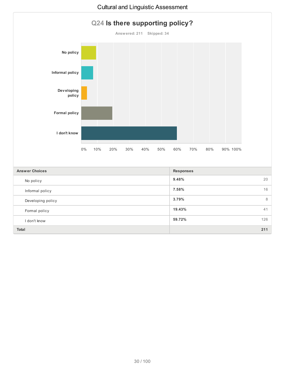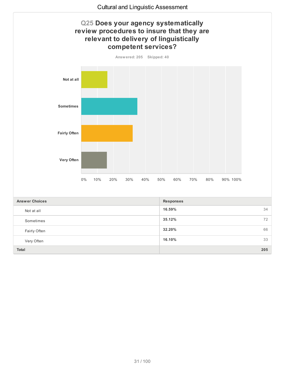

**32.20%** 66

**16.10%** 33

**Total 205**

Fairly Often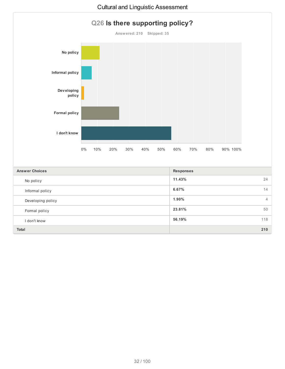

| <b>Answer Choices</b> | <b>Responses</b> |
|-----------------------|------------------|
| No policy             | 11.43%<br>24     |
| Informal policy       | 6.67%<br>14      |
| Developing policy     | $1.90\%$<br>4    |
| Formal policy         | 23.81%<br>50     |
| I don't know          | 118<br>56.19%    |
| Total                 | 210              |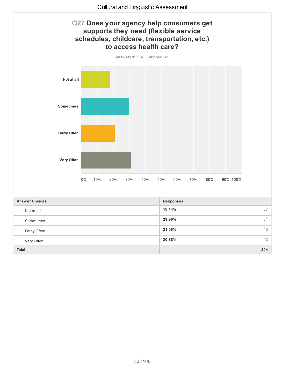

**30.88%** 63

**Total 204**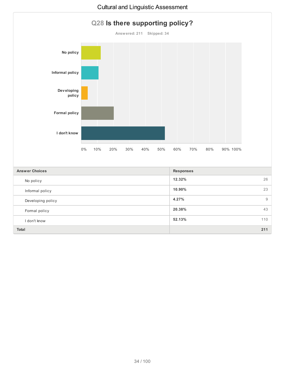

**4.27%** 9

**20.38%** 43

**52.13%** 110

**Total 211**

Informal policy

Formal policy

I don't know

Developing policy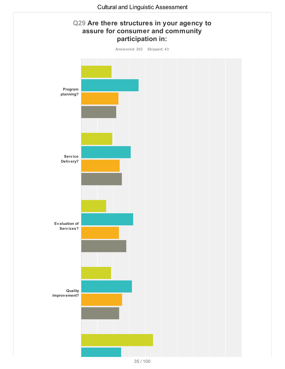

<sup>35</sup> / 100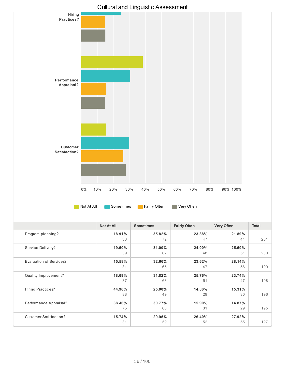

|                          | Not At All | <b>Sometimes</b> | <b>Fairly Often</b> | <b>Very Often</b> | Total |
|--------------------------|------------|------------------|---------------------|-------------------|-------|
| Program planning?        | 18.91%     | 35.82%           | 23.38%              | 21.89%            |       |
|                          | 38         | 72               | 47                  | 44                | 201   |
| Service Delivery?        | 19.50%     | 31.00%           | 24.00%              | 25.50%            |       |
|                          | 39         | 62               | 48                  | 51                | 200   |
| Evaluation of Services?  | 15.58%     | 32.66%           | 23.62%              | 28.14%            |       |
|                          | 31         | 65               | 47                  | 56                | 199   |
| Quality Improvement?     | 18.69%     | 31.82%           | 25.76%              | 23.74%            |       |
|                          | 37         | 63               | 51                  | 47                | 198   |
| <b>Hiring Practices?</b> | 44.90%     | 25.00%           | 14.80%              | 15.31%            |       |
|                          | 88         | 49               | 29                  | 30                | 196   |
| Performance Appraisal?   | 38.46%     | 30.77%           | 15.90%              | 14.87%            |       |
|                          | 75         | 60               | 31                  | 29                | 195   |
| Customer Satisfaction?   | 15.74%     | 29.95%           | 26.40%              | 27.92%            |       |
|                          | 31         | 59               | 52                  | 55                | 197   |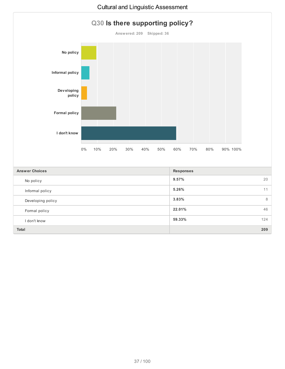

I don't know

**59.33%** 124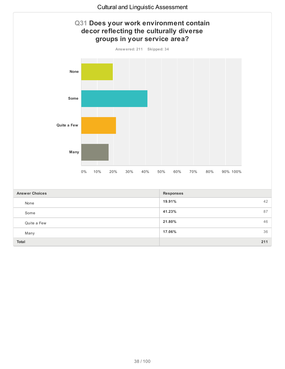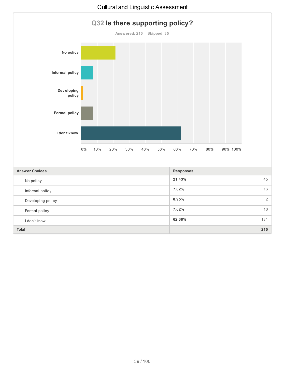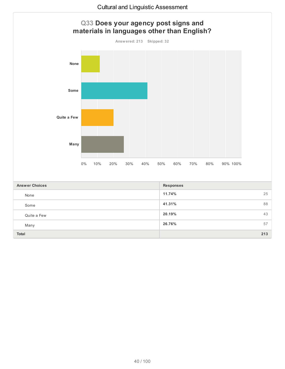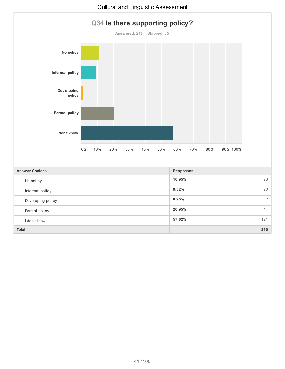

**9.52%** 20

**0.95%** 2

**20.95%** 44

**57.62%** 121

## Cultural and Linguistic Assessment

**Total 210**

Informal policy

Formal policy

I don't know

Developing policy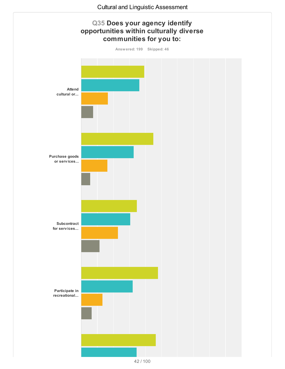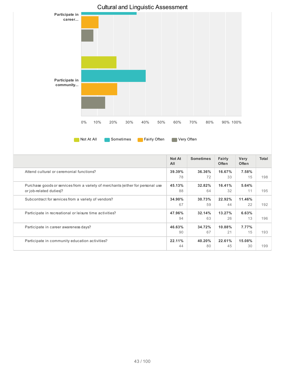

Subcontract for services from a variety of vendors?

Participate in recreational or leisure time activities?

Participate in community education activities?

Participate in career awareness days?

**34.90%** 67

**47.96%** 94

**46.63%** 90

**22.11%** 44 **30.73%** 59

**32.14%** 63

**34.72%** 67

**40.20%** 80 **22.92%** 44

**13.27%** 26

**10.88%** 21

**22.61%** 45 **11.46%**

**6.63%**

**7.77%**

**15.08%**

22 192

13 196

15 193

30 199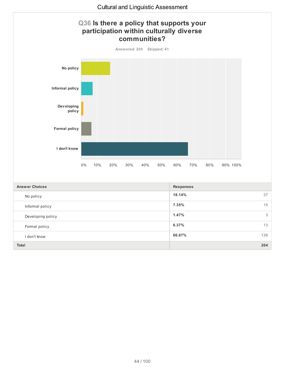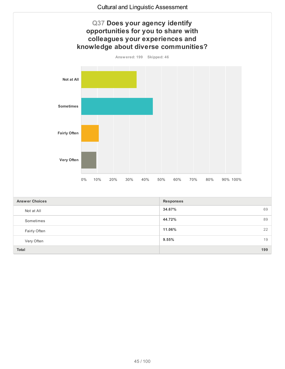

**11.06%** 22

**9.55%** 19

**Total 199**

Fairly Often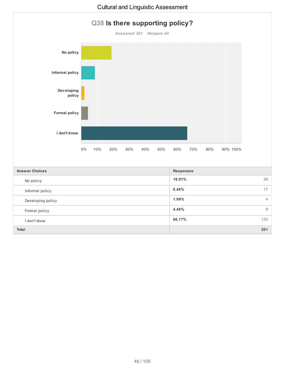

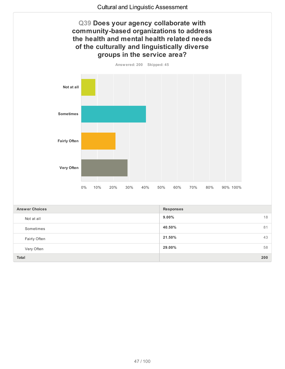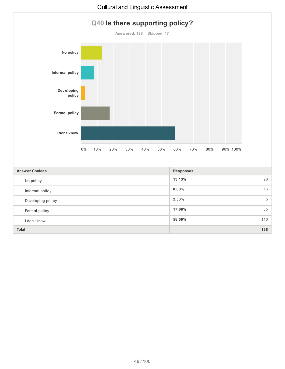

I don't know

**58.59%** 116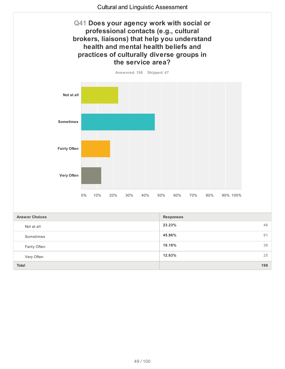





| <b>Answer Choices</b> | <b>Responses</b> |    |
|-----------------------|------------------|----|
| Not at all            | 23.23%<br>46     |    |
| Sometimes             | 45.96%           | 91 |
| Fairly Often          | 36<br>18.18%     |    |
| Very Often            | 12.63%<br>25     |    |
| Total                 | 198              |    |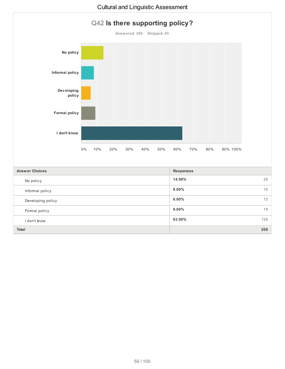

Formal policy

I don't know

**9.00%** 18

**63.00%** 126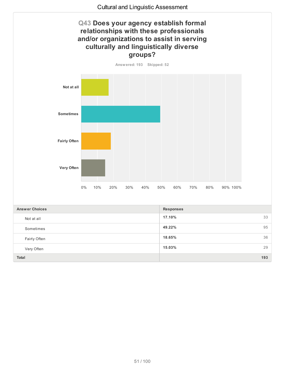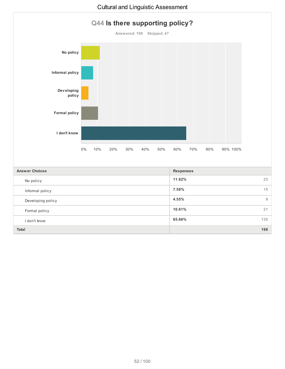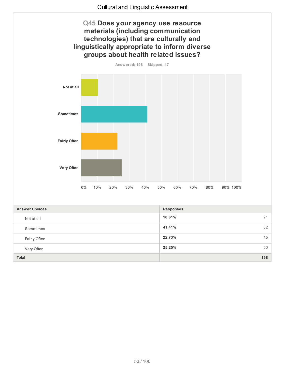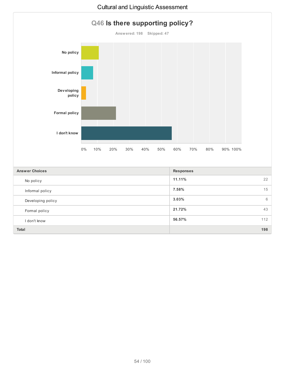

I don't know

**56.57%** 112

## Cultural and Linguistic Assessment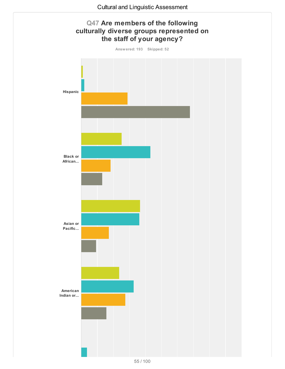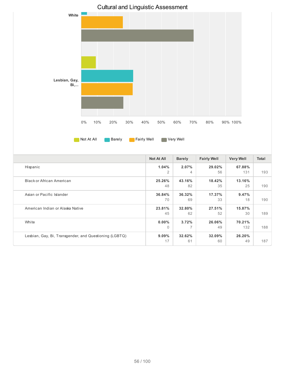

|                                                        | Not At All | <b>Barely</b> | <b>Fairly Well</b> | <b>Very Well</b> | <b>Total</b> |
|--------------------------------------------------------|------------|---------------|--------------------|------------------|--------------|
| Hispanic                                               | 1.04%      | 2.07%         | 29.02%             | 67.88%           |              |
|                                                        | 2          | 4             | 56                 | 131              | 193          |
| Black or African American                              | 25.26%     | 43.16%        | 18.42%             | 13.16%           |              |
|                                                        | 48         | 82            | 35                 | 25               | 190          |
| Asian or Pacific Islander                              | 36.84%     | 36.32%        | 17.37%             | 9.47%            |              |
|                                                        | 70         | 69            | 33                 | 18               | 190          |
| American Indian or Alaska Native                       | 23.81%     | 32.80%        | 27.51%             | 15.87%           |              |
|                                                        | 45         | 62            | 52                 | 30               | 189          |
| White                                                  | $0.00\%$   | 3.72%         | 26.06%             | 70.21%           |              |
|                                                        | $\Omega$   | 7             | 49                 | 132              | 188          |
| Lesbian, Gay, Bi, Transgender, and Questioning (LGBTQ) | $9.09\%$   | 32.62%        | 32.09%             | 26.20%           |              |
|                                                        | 17         | 61            | 60                 | 49               | 187          |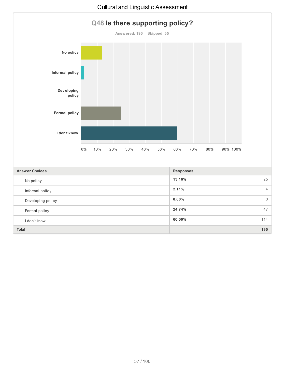

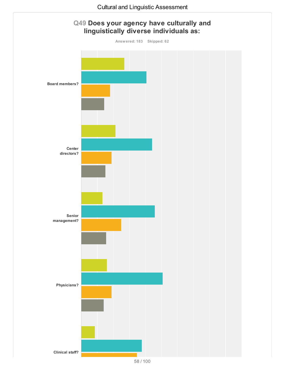

<sup>58</sup> / 100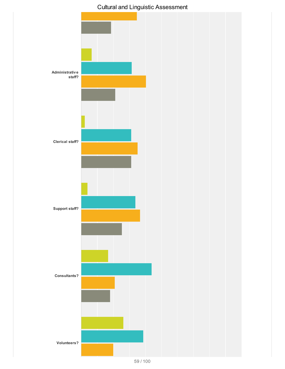

## Cultural and Linguistic Assessment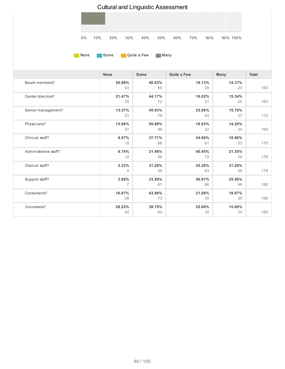

|                       | <b>None</b>  | <b>Some</b>  | Quite a Few  | Many         | <b>Total</b> |
|-----------------------|--------------|--------------|--------------|--------------|--------------|
| Board members?        | 26.88%<br>43 | 40.63%<br>65 | 18.13%<br>29 | 14.37%<br>23 | 160          |
| Center directors?     | 21.47%<br>35 | 44.17%<br>72 | 19.02%<br>31 | 15.34%<br>25 | 163          |
| Senior management?    | 13.37%<br>23 | 45.93%<br>79 | 25.00%<br>43 | 15.70%<br>27 | 172          |
| Physicians?           | 15.98%<br>27 | 50.89%<br>86 | 18.93%<br>32 | 14.20%<br>24 | 169          |
| Clinical staff?       | 8.57%<br>15  | 37.71%<br>66 | 34.86%<br>61 | 18.86%<br>33 | 175          |
| Administrative staff? | 6.74%<br>12  | 31.46%<br>56 | 40.45%<br>72 | 21.35%<br>38 | 178          |
| Clerical staff?       | 2.23%<br>4   | 31.28%<br>56 | 35.20%<br>63 | 31.28%<br>56 | 179          |
| Support staff?        | 3.89%<br>7   | 33.89%<br>61 | 36.67%<br>66 | 25.56%<br>46 | 180          |
| Consultants?          | 16.87%<br>28 | 43.98%<br>73 | 21.08%<br>35 | 18.07%<br>30 | 166          |
| Volunteers?           | 26.25%<br>42 | 38.75%<br>62 | 20.00%<br>32 | 15.00%<br>24 | 160          |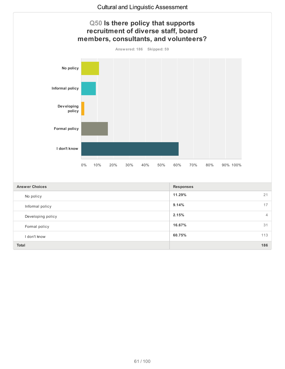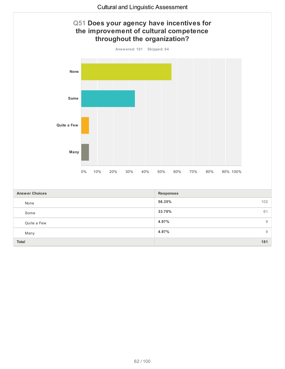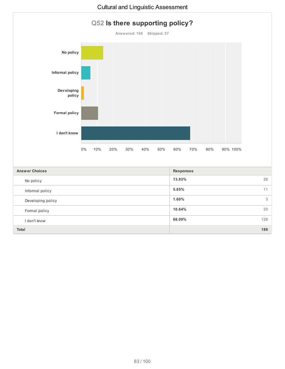

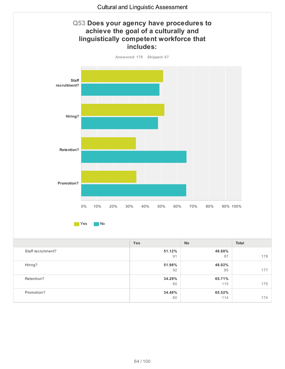

Hiring?

Retention?

Promotion?

**51.98%** 92

**34.29%** 60

**34.48%** 60 **48.02%**

**65.71%**

**65.52%**

85 177

115 175

114 174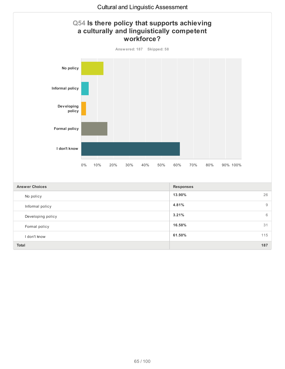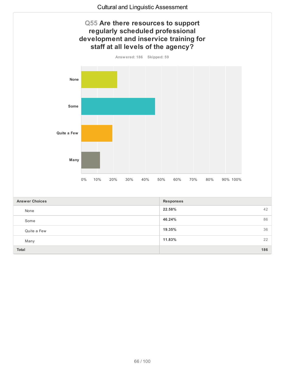

**19.35%** 36

**11.83%** 22

**Total 186**

Quite a Few

Many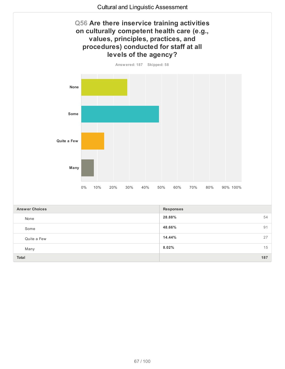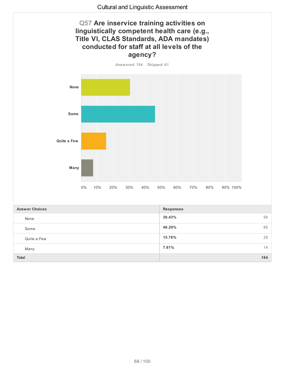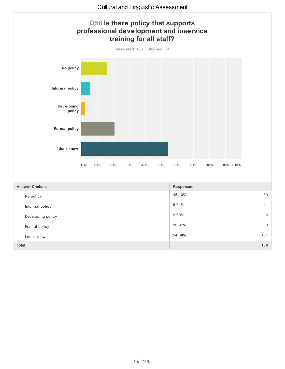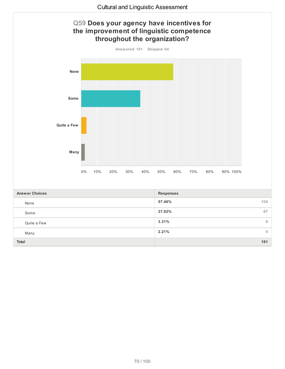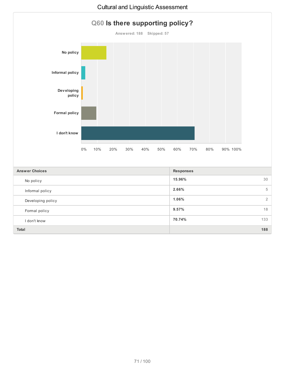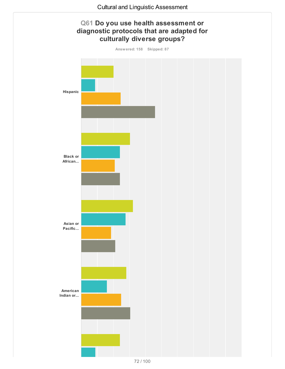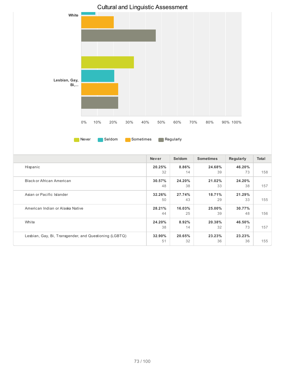

|                                                        | <b>Never</b> | <b>Seldom</b> | <b>Sometimes</b> | Regularly | <b>Total</b> |
|--------------------------------------------------------|--------------|---------------|------------------|-----------|--------------|
| Hispanic                                               | 20.25%       | 8.86%         | 24.68%           | 46.20%    |              |
|                                                        | 32           | 14            | 39               | 73        | 158          |
| Black or African American                              | 30.57%       | 24.20%        | 21.02%           | 24.20%    |              |
|                                                        | 48           | 38            | 33               | 38        | 157          |
| Asian or Pacific Islander                              | 32.26%       | 27.74%        | 18.71%           | 21.29%    |              |
|                                                        | 50           | 43            | 29               | 33        | 155          |
| American Indian or Alaska Native                       | 28.21%       | 16.03%        | 25.00%           | 30.77%    |              |
|                                                        | 44           | 25            | 39               | 48        | 156          |
| White                                                  | 24.20%       | 8.92%         | 20.38%           | 46.50%    |              |
|                                                        | 38           | 14            | 32               | 73        | 157          |
| Lesbian, Gay, Bi, Transgender, and Questioning (LGBTQ) | 32.90%       | 20.65%        | 23.23%           | 23.23%    |              |
|                                                        | 51           | 32            | 36               | 36        | 155          |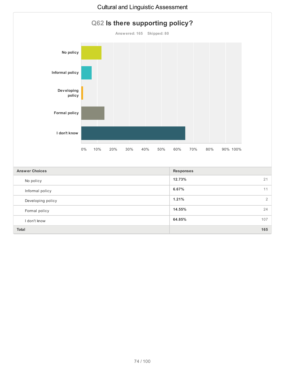

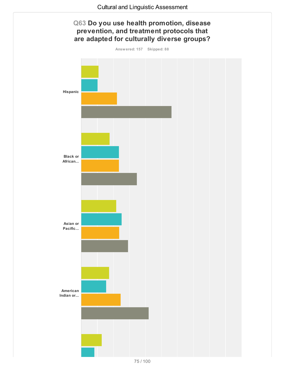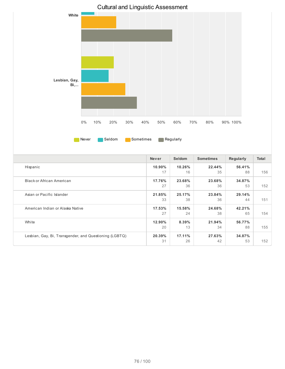

|                                                        | <b>Never</b> | <b>Seldom</b> | <b>Sometimes</b> | Regularly    | <b>Total</b> |
|--------------------------------------------------------|--------------|---------------|------------------|--------------|--------------|
| Hispanic                                               | 10.90%       | 10.26%        | 22.44%           | 56.41%       |              |
|                                                        | 17           | 16            | 35               | 88           | 156          |
| Black or African American                              | 17.76%<br>27 | 23.68%<br>36  | 23.68%<br>36     | 34.87%<br>53 | 152          |
| Asian or Pacific Islander                              | 21.85%<br>33 | 25.17%<br>38  | 23.84%<br>36     | 29.14%<br>44 | 151          |
| American Indian or Alaska Native                       | 17.53%<br>27 | 15.58%<br>24  | 24.68%<br>38     | 42.21%<br>65 | 154          |
| White                                                  | 12.90%<br>20 | 8.39%<br>13   | 21.94%<br>34     | 56.77%<br>88 | 155          |
| Lesbian, Gay, Bi, Transgender, and Questioning (LGBTQ) | 20.39%<br>31 | 17.11%<br>26  | 27.63%<br>42     | 34.87%<br>53 | 152          |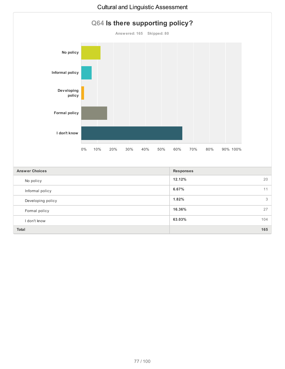

**1.82%** 3

**16.36%** 27

**63.03%** 104

**Total 165**

Developing policy

Formal policy

I don't know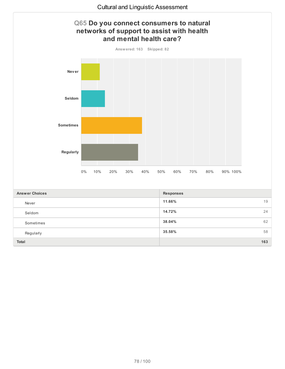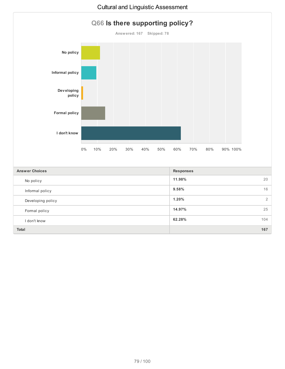

**1.20%** 2

**14.97%** 25

**62.28%** 104

**Total 167**

Developing policy

Formal policy

I don't know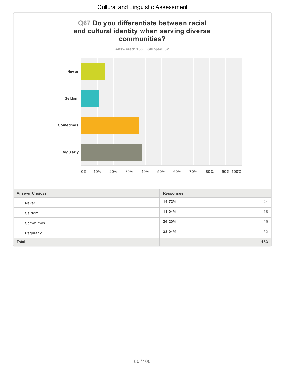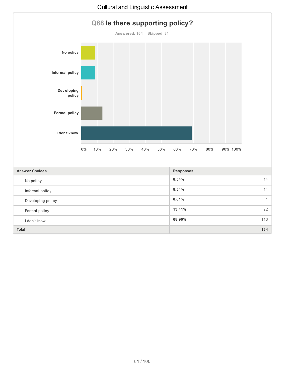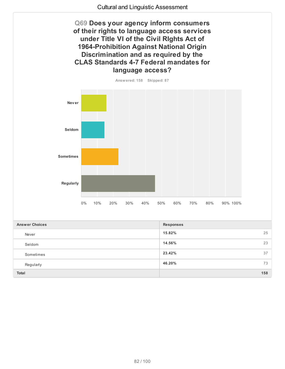**Q69 Does your agency inform consumers of their rights to language access services under Title VI of the Civil RIghts Act of 1964-Prohibition Against National Origin Discrimination and as required by the CLAS Standards 4-7 Federal mandates for language access?**



| <b>Answer Choices</b> | <b>Responses</b> |     |
|-----------------------|------------------|-----|
| Never                 | 15.82%           | 25  |
| Seldom                | 14.56%           | 23  |
| Sometimes             | 23.42%           | 37  |
| Regularly             | 46.20%           | 73  |
| Total                 |                  | 158 |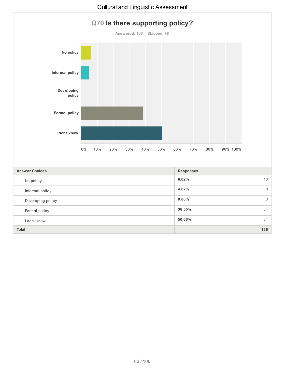

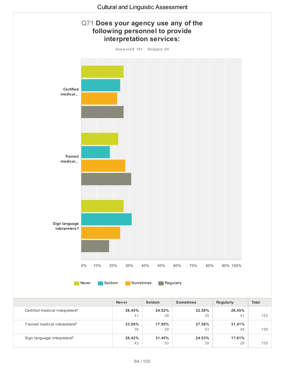

|                                 | <b>Never</b> | <b>Seldom</b> | <b>Sometimes</b> | Regularly    | <b>Total</b> |
|---------------------------------|--------------|---------------|------------------|--------------|--------------|
| Certified medical interpreters? | 26.45%<br>41 | 24.52%<br>38  | 22.58%<br>35     | 26.45%<br>41 | 155          |
| Trained medical interpreters?   | 23.08%<br>36 | 17.95%<br>28  | 27.56%<br>43     | 31.41%<br>49 | 156          |
| Sign language interpreters?     | 26.42%<br>42 | 31.45%<br>50  | 24.53%<br>39     | 17.61%<br>28 | 159          |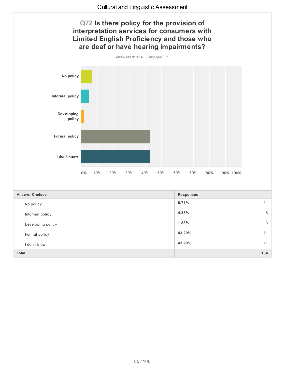

**Total 164**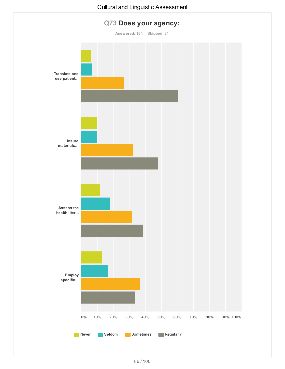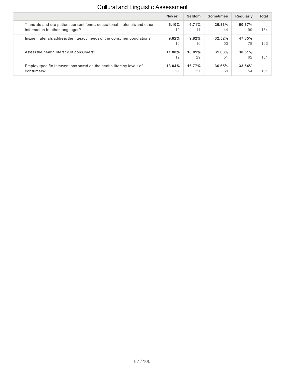|                                                                                                             | <b>Never</b> | Seldom       | <b>Sometimes</b> | <b>Regularly</b> | <b>Total</b> |
|-------------------------------------------------------------------------------------------------------------|--------------|--------------|------------------|------------------|--------------|
| Translate and use patient consent forms, educational materials and other<br>information in other languages? | 6.10%<br>10  | 6.71%<br>11  | 26.83%<br>44     | 60.37%<br>99     | 164          |
| Insure materials address the literacy needs of the consumer population?                                     | 9.82%<br>16  | 9.82%<br>16  | $32.52\%$<br>53  | 47.85%<br>78     | 163          |
| Assess the health literacy of consumers?                                                                    | 11.80%<br>19 | 18.01%<br>29 | 31.68%<br>51     | 38.51%<br>62     | 161          |
| Employ specific interventions based on the health literacy levels of<br>consumers?                          | 13.04%<br>21 | 16.77%<br>27 | 36.65%<br>59     | 33.54%<br>54     | 161          |

## Cultural and Linguistic Assessment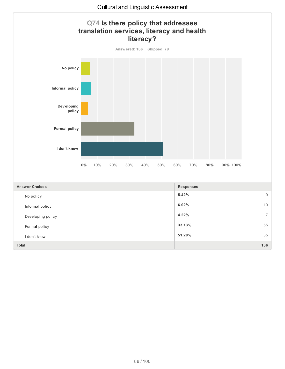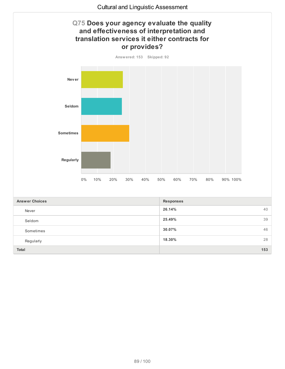

**18.30%** 28

**Total 153**

Regularly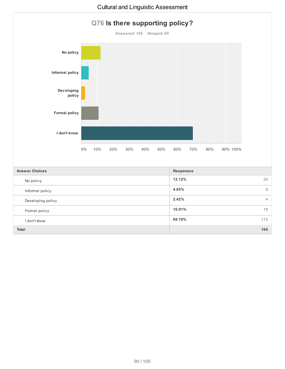

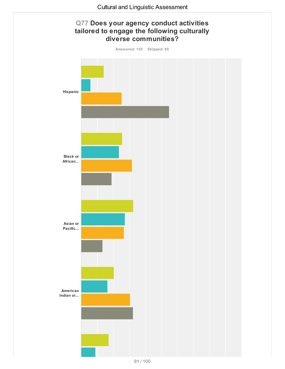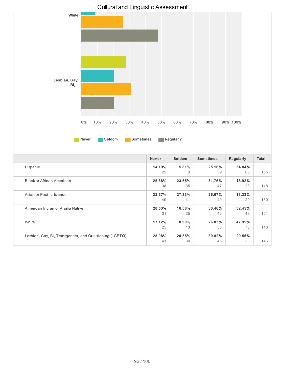

|                                                        | <b>Never</b> | <b>Seldom</b> | <b>Sometimes</b> | Regularly | <b>Total</b> |
|--------------------------------------------------------|--------------|---------------|------------------|-----------|--------------|
| Hispanic                                               | 14.19%       | 5.81%         | 25.16%           | 54.84%    |              |
|                                                        | 22           | 9             | 39               | 85        | 155          |
| <b>Black or African American</b>                       | 25.68%       | 23.65%        | 31.76%           | 18.92%    |              |
|                                                        | 38           | 35            | 47               | 28        | 148          |
| Asian or Pacific Islander                              | 32.67%       | 27.33%        | 26.67%           | $13.33\%$ |              |
|                                                        | 49           | 41            | 40               | 20        | 150          |
| American Indian or Alaska Native                       | 20.53%       | 16.56%        | 30.46%           | 32.45%    |              |
|                                                        | 31           | 25            | 46               | 49        | 151          |
| White                                                  | 17.12%       | $8.90\%$      | 26.03%           | 47.95%    |              |
|                                                        | 25           | 13            | 38               | 70        | 146          |
| Lesbian, Gay, Bi, Transgender, and Questioning (LGBTQ) | 28.08%       | 20.55%        | 30.82%           | 20.55%    |              |
|                                                        | 41           | 30            | 45               | 30        | 146          |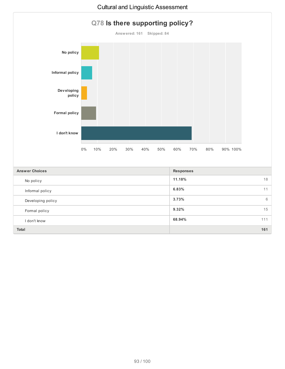

**Total 161**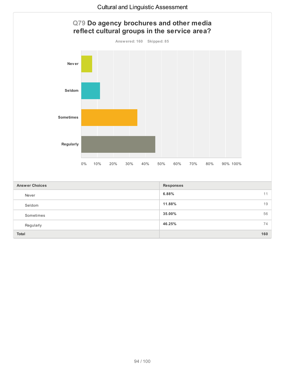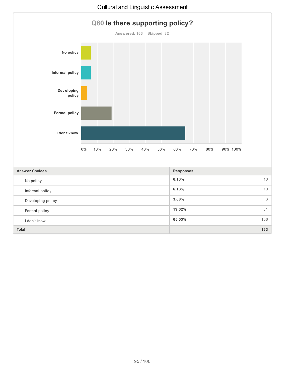

**Total 163**

## Cultural and Linguistic Assessment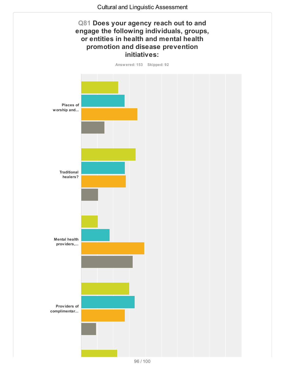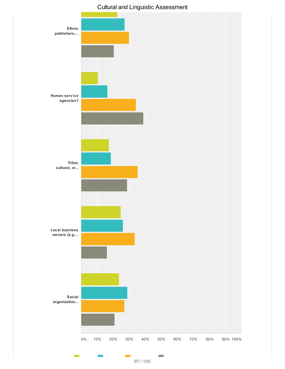

## Cultural and Linguistic Assessment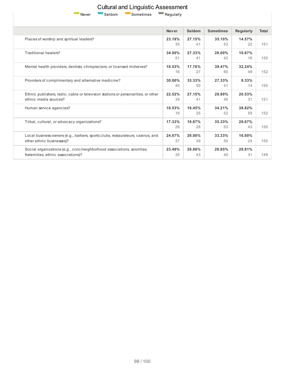

Cultural and Linguistic Assessment Never Seldom Sometimes Regularly

|                                                                                                                 | <b>Never</b> | Seldom       | <b>Sometimes</b> | Regularly    | <b>Total</b> |  |
|-----------------------------------------------------------------------------------------------------------------|--------------|--------------|------------------|--------------|--------------|--|
| Places of worship and spiritual leaders?                                                                        | 23.18%<br>35 | 27.15%<br>41 | 35.10%<br>53     | 14.57%<br>22 | 151          |  |
| Traditional healers?                                                                                            | 34.00%<br>51 | 27.33%<br>41 | 28.00%<br>42     | 10.67%<br>16 | 150          |  |
| Mental health providers, dentists, chiropractors, or licensed midwives?                                         | 10.53%<br>16 | 17.76%<br>27 | 39.47%<br>60     | 32.24%<br>49 | 152          |  |
| Providers of complimentary and alternative medicine?                                                            | 30.00%<br>45 | 33.33%<br>50 | 27.33%<br>41     | 9.33%<br>14  | 150          |  |
| Ethnic publishers, radio, cable or television stations or personalities, or other<br>ethnic media sources?      | 22.52%<br>34 | 27.15%<br>41 | 29.80%<br>45     | 20.53%<br>31 | 151          |  |
| Human service agencies?                                                                                         | 10.53%<br>16 | 16.45%<br>25 | 34.21%<br>52     | 38.82%<br>59 | 152          |  |
| Tribal, cultural, or advocacy organizations?                                                                    | 17.33%<br>26 | 18.67%<br>28 | 35.33%<br>53     | 28.67%<br>43 | 150          |  |
| Local business owners (e.g., barbers, sports clubs, restaurateurs, casinos, and<br>other ethnic businesses)?    | 24.67%<br>37 | 26.00%<br>39 | 33.33%<br>50     | 16.00%<br>24 | 150          |  |
| Social organizations (e.g., civic/neighborhood associations, sororities,<br>fraternities, ethnic associations)? | 23.49%<br>35 | 28.86%<br>43 | 26.85%<br>40     | 20.81%<br>31 | 149          |  |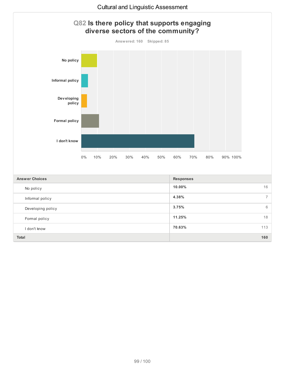